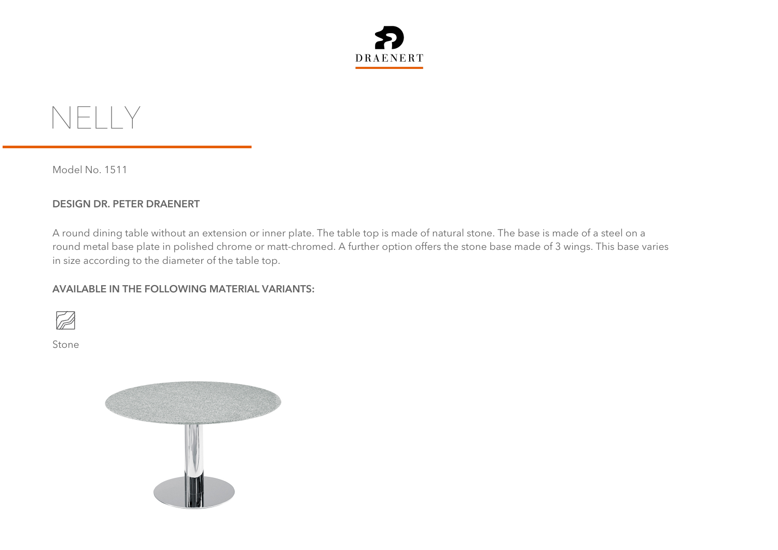



Model No. 1511

## **DESIGN DR. PETER DRAENERT**

A round dining table without an extension or inner plate. The table top is made of natural stone. The base is made of a steel on a round metal base plate in polished chrome or matt-chromed. A further option offers the stone base made of 3 wings. This base varies in size according to the diameter of the table top.

## **AVAILABLE IN THE FOLLOWING MATERIAL VARIANTS:**



Stone